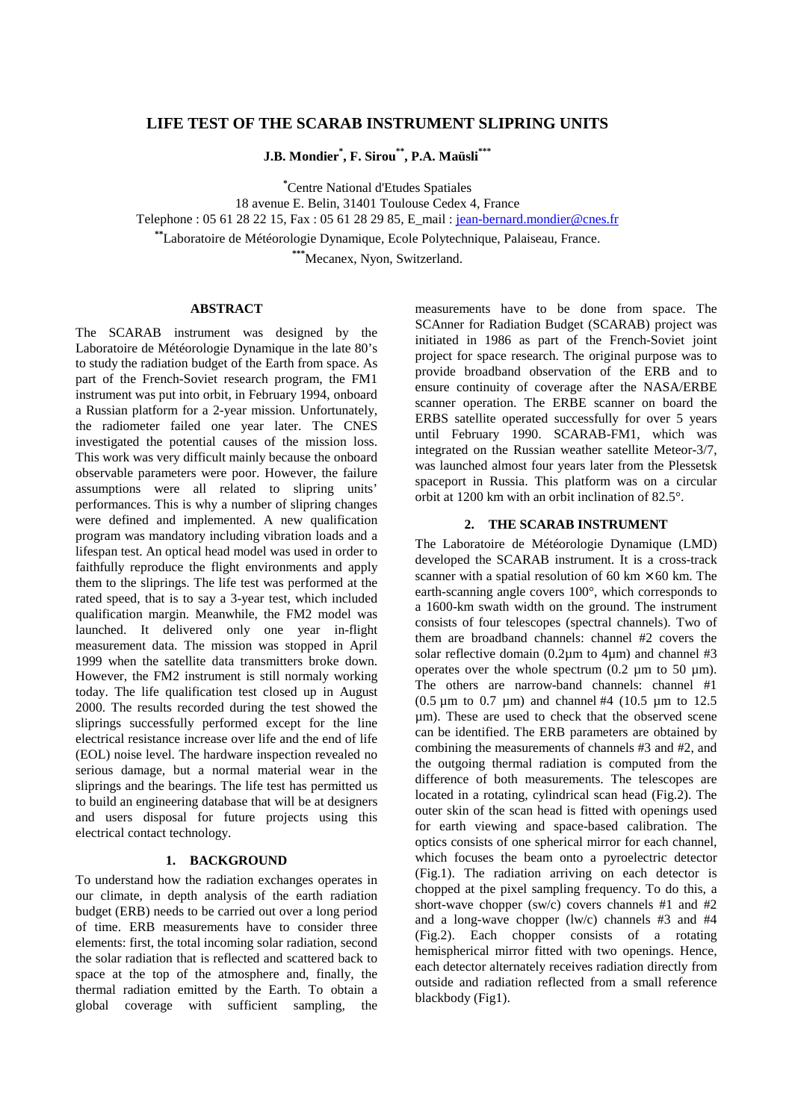# **LIFE TEST OF THE SCARAB INSTRUMENT SLIPRING UNITS**

**J.B. Mondier\* , F. Sirou\*\*, P.A. Maüsli\*\*\***

**\*** Centre National d'Etudes Spatiales

18 avenue E. Belin, 31401 Toulouse Cedex 4, France

Telephone : 05 61 28 22 15, Fax : 05 61 28 29 85, E\_mail : jean-bernard.mondier@cnes.fr

**\*\***Laboratoire de Météorologie Dynamique, Ecole Polytechnique, Palaiseau, France.

**\*\*\***Mecanex, Nyon, Switzerland.

## **ABSTRACT**

The SCARAB instrument was designed by the Laboratoire de Météorologie Dynamique in the late 80's to study the radiation budget of the Earth from space. As part of the French-Soviet research program, the FM1 instrument was put into orbit, in February 1994, onboard a Russian platform for a 2-year mission. Unfortunately, the radiometer failed one year later. The CNES investigated the potential causes of the mission loss. This work was very difficult mainly because the onboard observable parameters were poor. However, the failure assumptions were all related to slipring units' performances. This is why a number of slipring changes were defined and implemented. A new qualification program was mandatory including vibration loads and a lifespan test. An optical head model was used in order to faithfully reproduce the flight environments and apply them to the sliprings. The life test was performed at the rated speed, that is to say a 3-year test, which included qualification margin. Meanwhile, the FM2 model was launched. It delivered only one year in-flight measurement data. The mission was stopped in April 1999 when the satellite data transmitters broke down. However, the FM2 instrument is still normaly working today. The life qualification test closed up in August 2000. The results recorded during the test showed the sliprings successfully performed except for the line electrical resistance increase over life and the end of life (EOL) noise level. The hardware inspection revealed no serious damage, but a normal material wear in the sliprings and the bearings. The life test has permitted us to build an engineering database that will be at designers and users disposal for future projects using this electrical contact technology.

## **1. BACKGROUND**

To understand how the radiation exchanges operates in our climate, in depth analysis of the earth radiation budget (ERB) needs to be carried out over a long period of time. ERB measurements have to consider three elements: first, the total incoming solar radiation, second the solar radiation that is reflected and scattered back to space at the top of the atmosphere and, finally, the thermal radiation emitted by the Earth. To obtain a global coverage with sufficient sampling, the measurements have to be done from space. The SCAnner for Radiation Budget (SCARAB) project was initiated in 1986 as part of the French-Soviet joint project for space research. The original purpose was to provide broadband observation of the ERB and to ensure continuity of coverage after the NASA/ERBE scanner operation. The ERBE scanner on board the ERBS satellite operated successfully for over 5 years until February 1990. SCARAB-FM1, which was integrated on the Russian weather satellite Meteor-3/7, was launched almost four years later from the Plessetsk spaceport in Russia. This platform was on a circular orbit at 1200 km with an orbit inclination of 82.5°.

### **2. THE SCARAB INSTRUMENT**

The Laboratoire de Météorologie Dynamique (LMD) developed the SCARAB instrument. It is a cross-track scanner with a spatial resolution of 60 km  $\times$  60 km. The earth-scanning angle covers 100°, which corresponds to a 1600-km swath width on the ground. The instrument consists of four telescopes (spectral channels). Two of them are broadband channels: channel #2 covers the solar reflective domain  $(0.2 \mu m)$  to  $4 \mu m$ ) and channel #3 operates over the whole spectrum  $(0.2 \mu m)$  to 50  $\mu$ m). The others are narrow-band channels: channel #1 (0.5  $\mu$ m to 0.7  $\mu$ m) and channel #4 (10.5  $\mu$ m to 12.5) µm). These are used to check that the observed scene can be identified. The ERB parameters are obtained by combining the measurements of channels #3 and #2, and the outgoing thermal radiation is computed from the difference of both measurements. The telescopes are located in a rotating, cylindrical scan head (Fig.2). The outer skin of the scan head is fitted with openings used for earth viewing and space-based calibration. The optics consists of one spherical mirror for each channel, which focuses the beam onto a pyroelectric detector (Fig.1). The radiation arriving on each detector is chopped at the pixel sampling frequency. To do this, a short-wave chopper (sw/c) covers channels #1 and #2 and a long-wave chopper (lw/c) channels #3 and #4 (Fig.2). Each chopper consists of a rotating hemispherical mirror fitted with two openings. Hence, each detector alternately receives radiation directly from outside and radiation reflected from a small reference blackbody (Fig1).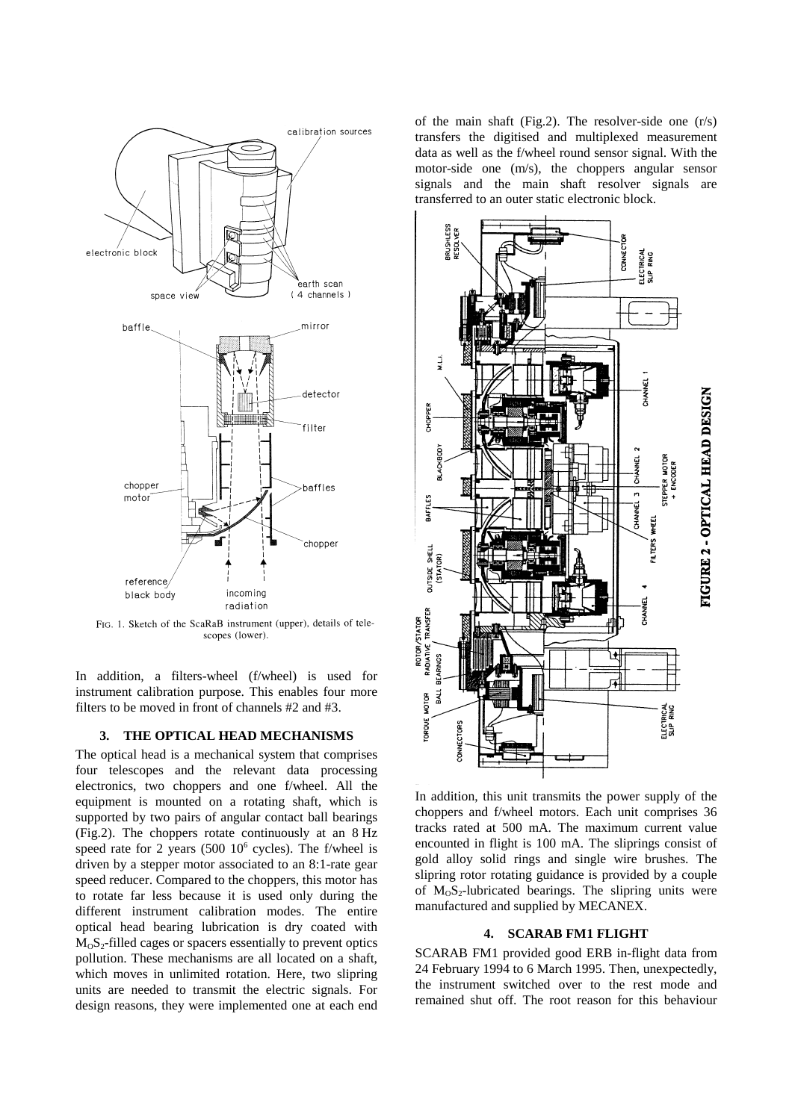

FIG. 1. Sketch of the ScaRaB instrument (upper), details of telescopes (lower).

In addition, a filters-wheel (f/wheel) is used for instrument calibration purpose. This enables four more filters to be moved in front of channels #2 and #3.

### **3. THE OPTICAL HEAD MECHANISMS**

The optical head is a mechanical system that comprises four telescopes and the relevant data processing electronics, two choppers and one f/wheel. All the equipment is mounted on a rotating shaft, which is supported by two pairs of angular contact ball bearings (Fig.2). The choppers rotate continuously at an 8 Hz speed rate for 2 years  $(500 \ 10^6 \text{ cycles})$ . The f/wheel is driven by a stepper motor associated to an 8:1-rate gear speed reducer. Compared to the choppers, this motor has to rotate far less because it is used only during the different instrument calibration modes. The entire optical head bearing lubrication is dry coated with  $M<sub>0</sub>S<sub>2</sub>$ -filled cages or spacers essentially to prevent optics pollution. These mechanisms are all located on a shaft, which moves in unlimited rotation. Here, two slipring units are needed to transmit the electric signals. For design reasons, they were implemented one at each end

of the main shaft (Fig.2). The resolver-side one (r/s) transfers the digitised and multiplexed measurement data as well as the f/wheel round sensor signal. With the motor-side one (m/s), the choppers angular sensor signals and the main shaft resolver signals are transferred to an outer static electronic block.



In addition, this unit transmits the power supply of the choppers and f/wheel motors. Each unit comprises 36 tracks rated at 500 mA. The maximum current value encounted in flight is 100 mA. The sliprings consist of gold alloy solid rings and single wire brushes. The slipring rotor rotating guidance is provided by a couple of  $M_0S_2$ -lubricated bearings. The slipring units were manufactured and supplied by MECANEX.

## **4. SCARAB FM1 FLIGHT**

SCARAB FM1 provided good ERB in-flight data from 24 February 1994 to 6 March 1995. Then, unexpectedly, the instrument switched over to the rest mode and remained shut off. The root reason for this behaviour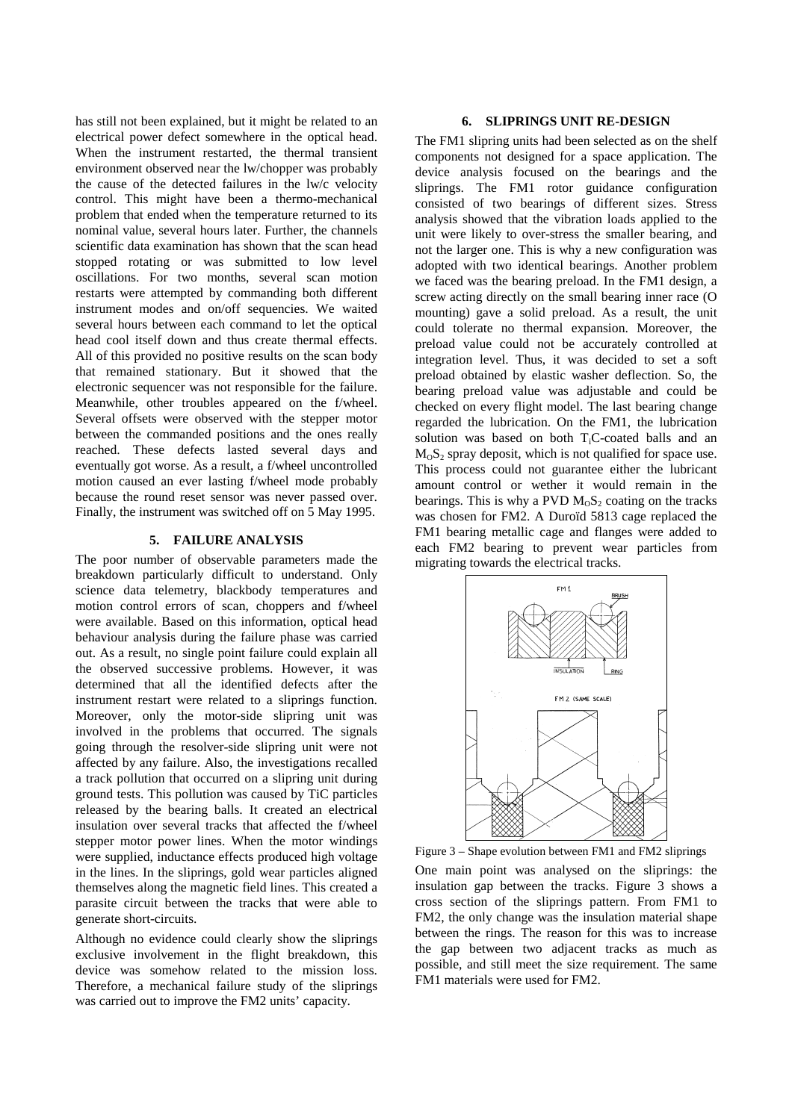has still not been explained, but it might be related to an electrical power defect somewhere in the optical head. When the instrument restarted, the thermal transient environment observed near the lw/chopper was probably the cause of the detected failures in the lw/c velocity control. This might have been a thermo-mechanical problem that ended when the temperature returned to its nominal value, several hours later. Further, the channels scientific data examination has shown that the scan head stopped rotating or was submitted to low level oscillations. For two months, several scan motion restarts were attempted by commanding both different instrument modes and on/off sequencies. We waited several hours between each command to let the optical head cool itself down and thus create thermal effects. All of this provided no positive results on the scan body that remained stationary. But it showed that the electronic sequencer was not responsible for the failure. Meanwhile, other troubles appeared on the f/wheel. Several offsets were observed with the stepper motor between the commanded positions and the ones really reached. These defects lasted several days and eventually got worse. As a result, a f/wheel uncontrolled motion caused an ever lasting f/wheel mode probably because the round reset sensor was never passed over. Finally, the instrument was switched off on 5 May 1995.

#### **5. FAILURE ANALYSIS**

The poor number of observable parameters made the breakdown particularly difficult to understand. Only science data telemetry, blackbody temperatures and motion control errors of scan, choppers and f/wheel were available. Based on this information, optical head behaviour analysis during the failure phase was carried out. As a result, no single point failure could explain all the observed successive problems. However, it was determined that all the identified defects after the instrument restart were related to a sliprings function. Moreover, only the motor-side slipring unit was involved in the problems that occurred. The signals going through the resolver-side slipring unit were not affected by any failure. Also, the investigations recalled a track pollution that occurred on a slipring unit during ground tests. This pollution was caused by TiC particles released by the bearing balls. It created an electrical insulation over several tracks that affected the f/wheel stepper motor power lines. When the motor windings were supplied, inductance effects produced high voltage in the lines. In the sliprings, gold wear particles aligned themselves along the magnetic field lines. This created a parasite circuit between the tracks that were able to generate short-circuits.

Although no evidence could clearly show the sliprings exclusive involvement in the flight breakdown, this device was somehow related to the mission loss. Therefore, a mechanical failure study of the sliprings was carried out to improve the FM2 units' capacity.

#### **6. SLIPRINGS UNIT RE-DESIGN**

The FM1 slipring units had been selected as on the shelf components not designed for a space application. The device analysis focused on the bearings and the sliprings. The FM1 rotor guidance configuration consisted of two bearings of different sizes. Stress analysis showed that the vibration loads applied to the unit were likely to over-stress the smaller bearing, and not the larger one. This is why a new configuration was adopted with two identical bearings. Another problem we faced was the bearing preload. In the FM1 design, a screw acting directly on the small bearing inner race (O mounting) gave a solid preload. As a result, the unit could tolerate no thermal expansion. Moreover, the preload value could not be accurately controlled at integration level. Thus, it was decided to set a soft preload obtained by elastic washer deflection. So, the bearing preload value was adjustable and could be checked on every flight model. The last bearing change regarded the lubrication. On the FM1, the lubrication solution was based on both T<sub>i</sub>C-coated balls and an  $M_0S_2$  spray deposit, which is not qualified for space use. This process could not guarantee either the lubricant amount control or wether it would remain in the bearings. This is why a PVD  $M_0S_2$  coating on the tracks was chosen for FM2. A Duroïd 5813 cage replaced the FM1 bearing metallic cage and flanges were added to each FM2 bearing to prevent wear particles from migrating towards the electrical tracks.



Figure 3 – Shape evolution between FM1 and FM2 sliprings

One main point was analysed on the sliprings: the insulation gap between the tracks. Figure 3 shows a cross section of the sliprings pattern. From FM1 to FM2, the only change was the insulation material shape between the rings. The reason for this was to increase the gap between two adjacent tracks as much as possible, and still meet the size requirement. The same FM1 materials were used for FM2.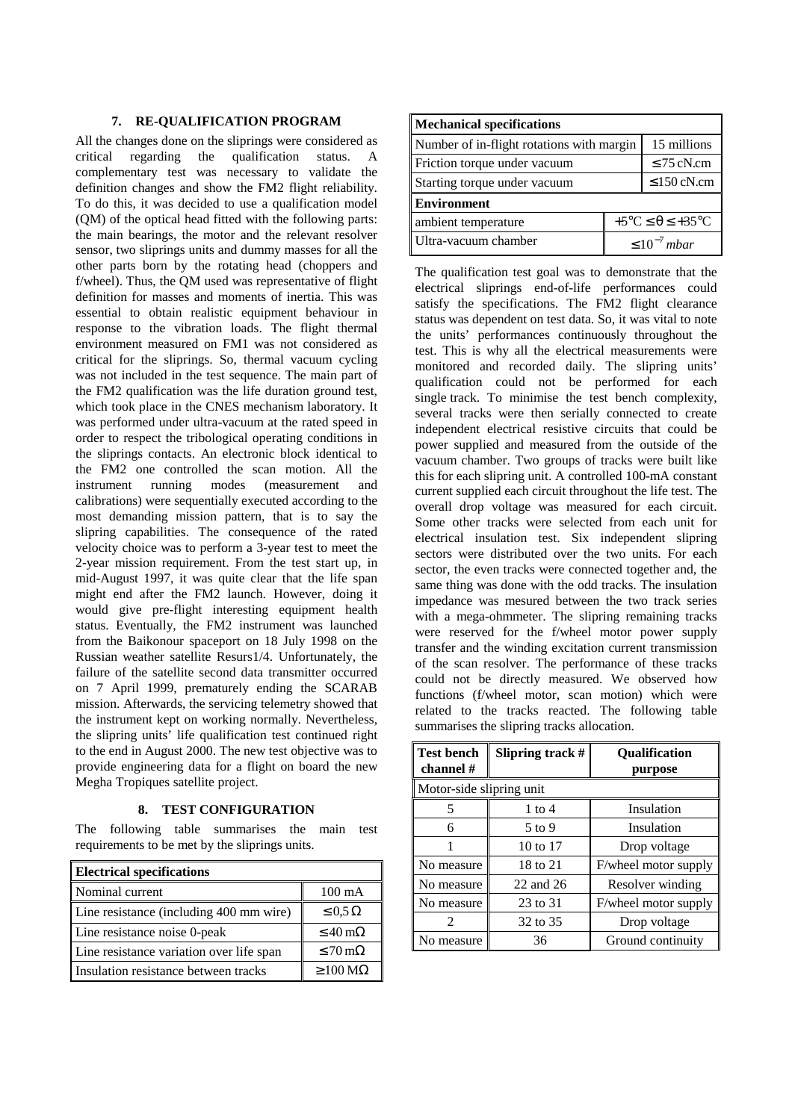#### **7. RE-QUALIFICATION PROGRAM**

All the changes done on the sliprings were considered as critical regarding the qualification status. A complementary test was necessary to validate the definition changes and show the FM2 flight reliability. To do this, it was decided to use a qualification model (QM) of the optical head fitted with the following parts: the main bearings, the motor and the relevant resolver sensor, two sliprings units and dummy masses for all the other parts born by the rotating head (choppers and f/wheel). Thus, the QM used was representative of flight definition for masses and moments of inertia. This was essential to obtain realistic equipment behaviour in response to the vibration loads. The flight thermal environment measured on FM1 was not considered as critical for the sliprings. So, thermal vacuum cycling was not included in the test sequence. The main part of the FM2 qualification was the life duration ground test, which took place in the CNES mechanism laboratory. It was performed under ultra-vacuum at the rated speed in order to respect the tribological operating conditions in the sliprings contacts. An electronic block identical to the FM2 one controlled the scan motion. All the instrument running modes (measurement and calibrations) were sequentially executed according to the most demanding mission pattern, that is to say the slipring capabilities. The consequence of the rated velocity choice was to perform a 3-year test to meet the 2-year mission requirement. From the test start up, in mid-August 1997, it was quite clear that the life span might end after the FM2 launch. However, doing it would give pre-flight interesting equipment health status. Eventually, the FM2 instrument was launched from the Baikonour spaceport on 18 July 1998 on the Russian weather satellite Resurs1/4. Unfortunately, the failure of the satellite second data transmitter occurred on 7 April 1999, prematurely ending the SCARAB mission. Afterwards, the servicing telemetry showed that the instrument kept on working normally. Nevertheless, the slipring units' life qualification test continued right to the end in August 2000. The new test objective was to provide engineering data for a flight on board the new Megha Tropiques satellite project.

#### **8. TEST CONFIGURATION**

The following table summarises the main test requirements to be met by the sliprings units.

| <b>Electrical specifications</b>         |                              |  |
|------------------------------------------|------------------------------|--|
| Nominal current                          | $100 \text{ mA}$             |  |
| Line resistance (including 400 mm wire)  | $\leq 0.5 \Omega$            |  |
| Line resistance noise 0-peak             | $\leq 40 \,\mathrm{m}\Omega$ |  |
| Line resistance variation over life span | $\leq 70 \,\mathrm{m}\Omega$ |  |
| Insulation resistance between tracks     | $\geq$ 100 M $\Omega$        |  |

| Mechanical specifications                 |                                             |                  |
|-------------------------------------------|---------------------------------------------|------------------|
| Number of in-flight rotations with margin |                                             | 15 millions      |
| Friction torque under vacuum              |                                             | $\leq$ 75 cN.cm  |
| Starting torque under vacuum              |                                             | $\leq$ 150 cN.cm |
| <b>Environment</b>                        |                                             |                  |
| ambient temperature                       | $+5^{\circ}C \leq \theta \leq +35^{\circ}C$ |                  |
| Ultra-vacuum chamber                      | $\leq 10^{-7}$ mbar                         |                  |

The qualification test goal was to demonstrate that the electrical sliprings end-of-life performances could satisfy the specifications. The FM2 flight clearance status was dependent on test data. So, it was vital to note the units' performances continuously throughout the test. This is why all the electrical measurements were monitored and recorded daily. The slipring units' qualification could not be performed for each single track. To minimise the test bench complexity, several tracks were then serially connected to create independent electrical resistive circuits that could be power supplied and measured from the outside of the vacuum chamber. Two groups of tracks were built like this for each slipring unit. A controlled 100-mA constant current supplied each circuit throughout the life test. The overall drop voltage was measured for each circuit. Some other tracks were selected from each unit for electrical insulation test. Six independent slipring sectors were distributed over the two units. For each sector, the even tracks were connected together and, the same thing was done with the odd tracks. The insulation impedance was mesured between the two track series with a mega-ohmmeter. The slipring remaining tracks were reserved for the f/wheel motor power supply transfer and the winding excitation current transmission of the scan resolver. The performance of these tracks could not be directly measured. We observed how functions (f/wheel motor, scan motion) which were related to the tracks reacted. The following table summarises the slipring tracks allocation.

| <b>Test bench</b><br>channel # | Slipring track $#$ | <b>Qualification</b><br>purpose |
|--------------------------------|--------------------|---------------------------------|
| Motor-side slipring unit       |                    |                                 |
| 5                              | 1 to $4$           | Insulation                      |
| 6                              | $5$ to 9           | Insulation                      |
|                                | 10 to 17           | Drop voltage                    |
| No measure                     | 18 to 21           | F/wheel motor supply            |
| No measure                     | 22 and 26          | Resolver winding                |
| No measure                     | 23 to 31           | F/wheel motor supply            |
|                                | 32 to 35           | Drop voltage                    |
| No measure                     | 36                 | Ground continuity               |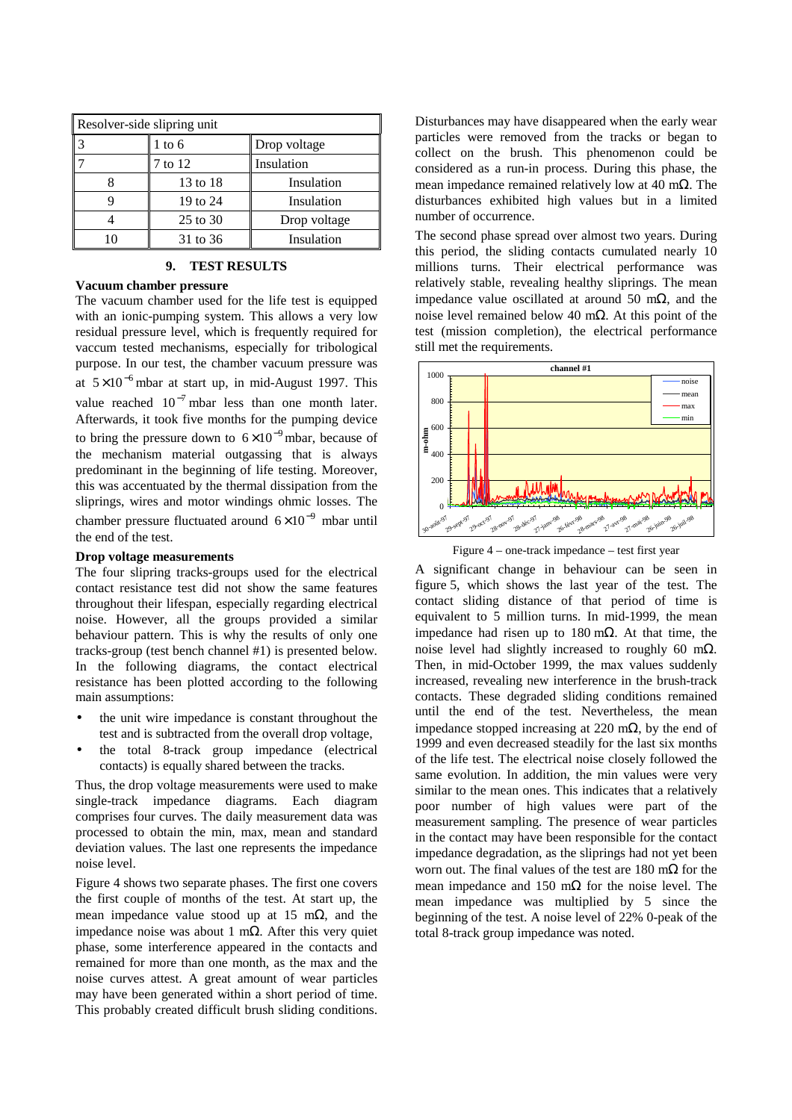| Resolver-side slipring unit |          |              |  |
|-----------------------------|----------|--------------|--|
|                             | 1 to 6   | Drop voltage |  |
|                             | 7 to 12  | Insulation   |  |
|                             | 13 to 18 | Insulation   |  |
|                             | 19 to 24 | Insulation   |  |
|                             | 25 to 30 | Drop voltage |  |
|                             | 31 to 36 | Insulation   |  |

## **9. TEST RESULTS**

### **Vacuum chamber pressure**

The vacuum chamber used for the life test is equipped with an ionic-pumping system. This allows a very low residual pressure level, which is frequently required for vaccum tested mechanisms, especially for tribological purpose. In our test, the chamber vacuum pressure was at  $5 \times 10^{-6}$  mbar at start up, in mid-August 1997. This value reached  $10^{-7}$  mbar less than one month later. Afterwards, it took five months for the pumping device to bring the pressure down to  $6 \times 10^{-9}$  mbar, because of the mechanism material outgassing that is always predominant in the beginning of life testing. Moreover, this was accentuated by the thermal dissipation from the sliprings, wires and motor windings ohmic losses. The chamber pressure fluctuated around  $6 \times 10^{-9}$  mbar until the end of the test.

#### **Drop voltage measurements**

The four slipring tracks-groups used for the electrical contact resistance test did not show the same features throughout their lifespan, especially regarding electrical noise. However, all the groups provided a similar behaviour pattern. This is why the results of only one tracks-group (test bench channel #1) is presented below. In the following diagrams, the contact electrical resistance has been plotted according to the following main assumptions:

- the unit wire impedance is constant throughout the test and is subtracted from the overall drop voltage,
- the total 8-track group impedance (electrical contacts) is equally shared between the tracks.

Thus, the drop voltage measurements were used to make single-track impedance diagrams. Each diagram comprises four curves. The daily measurement data was processed to obtain the min, max, mean and standard deviation values. The last one represents the impedance noise level.

Figure 4 shows two separate phases. The first one covers the first couple of months of the test. At start up, the mean impedance value stood up at 15 m $\Omega$ , and the impedance noise was about 1 mΩ. After this very quiet phase, some interference appeared in the contacts and remained for more than one month, as the max and the noise curves attest. A great amount of wear particles may have been generated within a short period of time. This probably created difficult brush sliding conditions. Disturbances may have disappeared when the early wear particles were removed from the tracks or began to collect on the brush. This phenomenon could be considered as a run-in process. During this phase, the mean impedance remained relatively low at 40 mΩ. The disturbances exhibited high values but in a limited number of occurrence.

The second phase spread over almost two years. During this period, the sliding contacts cumulated nearly 10 millions turns. Their electrical performance was relatively stable, revealing healthy sliprings. The mean impedance value oscillated at around 50 mΩ, and the noise level remained below 40 mΩ. At this point of the test (mission completion), the electrical performance still met the requirements.



Figure 4 – one-track impedance – test first year

A significant change in behaviour can be seen in figure 5, which shows the last year of the test. The contact sliding distance of that period of time is equivalent to 5 million turns. In mid-1999, the mean impedance had risen up to 180 mΩ. At that time, the noise level had slightly increased to roughly 60 mΩ. Then, in mid-October 1999, the max values suddenly increased, revealing new interference in the brush-track contacts. These degraded sliding conditions remained until the end of the test. Nevertheless, the mean impedance stopped increasing at 220 mΩ, by the end of 1999 and even decreased steadily for the last six months of the life test. The electrical noise closely followed the same evolution. In addition, the min values were very similar to the mean ones. This indicates that a relatively poor number of high values were part of the measurement sampling. The presence of wear particles in the contact may have been responsible for the contact impedance degradation, as the sliprings had not yet been worn out. The final values of the test are 180 m $\Omega$  for the mean impedance and 150 m $\Omega$  for the noise level. The mean impedance was multiplied by 5 since the beginning of the test. A noise level of 22% 0-peak of the total 8-track group impedance was noted.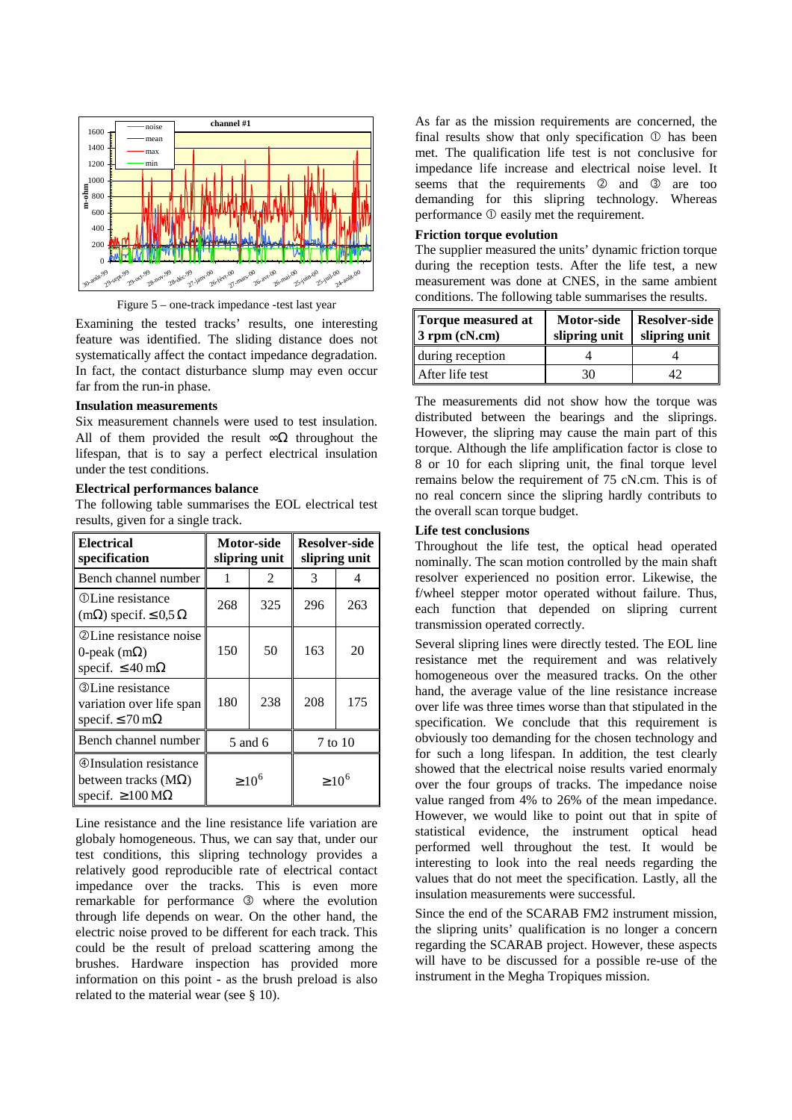



Examining the tested tracks' results, one interesting feature was identified. The sliding distance does not systematically affect the contact impedance degradation. In fact, the contact disturbance slump may even occur far from the run-in phase.

### **Insulation measurements**

Six measurement channels were used to test insulation. All of them provided the result  $\infty\Omega$  throughout the lifespan, that is to say a perfect electrical insulation under the test conditions.

#### **Electrical performances balance**

The following table summarises the EOL electrical test results, given for a single track.

| <b>Electrical</b><br>specification                                                                       | Motor-side<br>slipring unit |         | <b>Resolver-side</b><br>slipring unit |             |
|----------------------------------------------------------------------------------------------------------|-----------------------------|---------|---------------------------------------|-------------|
| Bench channel number                                                                                     |                             | 2       | 3                                     |             |
| <b>OLine</b> resistance<br>$(m\Omega)$ specif. $\leq 0.5 \Omega$                                         | 268                         | 325     | 296                                   | 263         |
| <b>2 Line resistance noise</b><br>0-peak $(m\Omega)$<br>specif. $\leq 40$ m $\Omega$                     | 150                         | 50      | 163                                   | 20          |
| <b>3</b> Line resistance<br>variation over life span<br>specif. $\leq$ 70 m $\Omega$                     | 180                         | 238     | 208                                   | 175         |
| Bench channel number                                                                                     |                             | 5 and 6 |                                       | 7 to 10     |
| <b><i></i></b> Unsulation resistance<br>between tracks $(M\Omega)$<br>specif. $\geq 100 \text{ M}\Omega$ | $\geq 10^6$                 |         |                                       | $\geq 10^6$ |

Line resistance and the line resistance life variation are globaly homogeneous. Thus, we can say that, under our test conditions, this slipring technology provides a relatively good reproducible rate of electrical contact impedance over the tracks. This is even more remarkable for performance  $\circled{3}$  where the evolution through life depends on wear. On the other hand, the electric noise proved to be different for each track. This could be the result of preload scattering among the brushes. Hardware inspection has provided more information on this point - as the brush preload is also related to the material wear (see § 10).

As far as the mission requirements are concerned, the final results show that only specification  $O$  has been met. The qualification life test is not conclusive for impedance life increase and electrical noise level. It seems that the requirements  $\oslash$  and  $\oslash$  are too demanding for this slipring technology. Whereas  $performance \oplus easily met the requirement.$ 

## **Friction torque evolution**

The supplier measured the units' dynamic friction torque during the reception tests. After the life test, a new measurement was done at CNES, in the same ambient conditions. The following table summarises the results.

| Torque measured at<br>3 rpm (cN.cm) | <b>Motor-side</b><br>slipring unit $\ $ | Resolver-side<br>slipring unit $\parallel$ |
|-------------------------------------|-----------------------------------------|--------------------------------------------|
| during reception                    |                                         |                                            |
| After life test                     | 30                                      |                                            |

The measurements did not show how the torque was distributed between the bearings and the sliprings. However, the slipring may cause the main part of this torque. Although the life amplification factor is close to 8 or 10 for each slipring unit, the final torque level remains below the requirement of 75 cN.cm. This is of no real concern since the slipring hardly contributs to the overall scan torque budget.

## **Life test conclusions**

Throughout the life test, the optical head operated nominally. The scan motion controlled by the main shaft resolver experienced no position error. Likewise, the f/wheel stepper motor operated without failure. Thus, each function that depended on slipring current transmission operated correctly.

Several slipring lines were directly tested. The EOL line resistance met the requirement and was relatively homogeneous over the measured tracks. On the other hand, the average value of the line resistance increase over life was three times worse than that stipulated in the specification. We conclude that this requirement is obviously too demanding for the chosen technology and for such a long lifespan. In addition, the test clearly showed that the electrical noise results varied enormaly over the four groups of tracks. The impedance noise value ranged from 4% to 26% of the mean impedance. However, we would like to point out that in spite of statistical evidence, the instrument optical head performed well throughout the test. It would be interesting to look into the real needs regarding the values that do not meet the specification. Lastly, all the insulation measurements were successful.

Since the end of the SCARAB FM2 instrument mission, the slipring units' qualification is no longer a concern regarding the SCARAB project. However, these aspects will have to be discussed for a possible re-use of the instrument in the Megha Tropiques mission.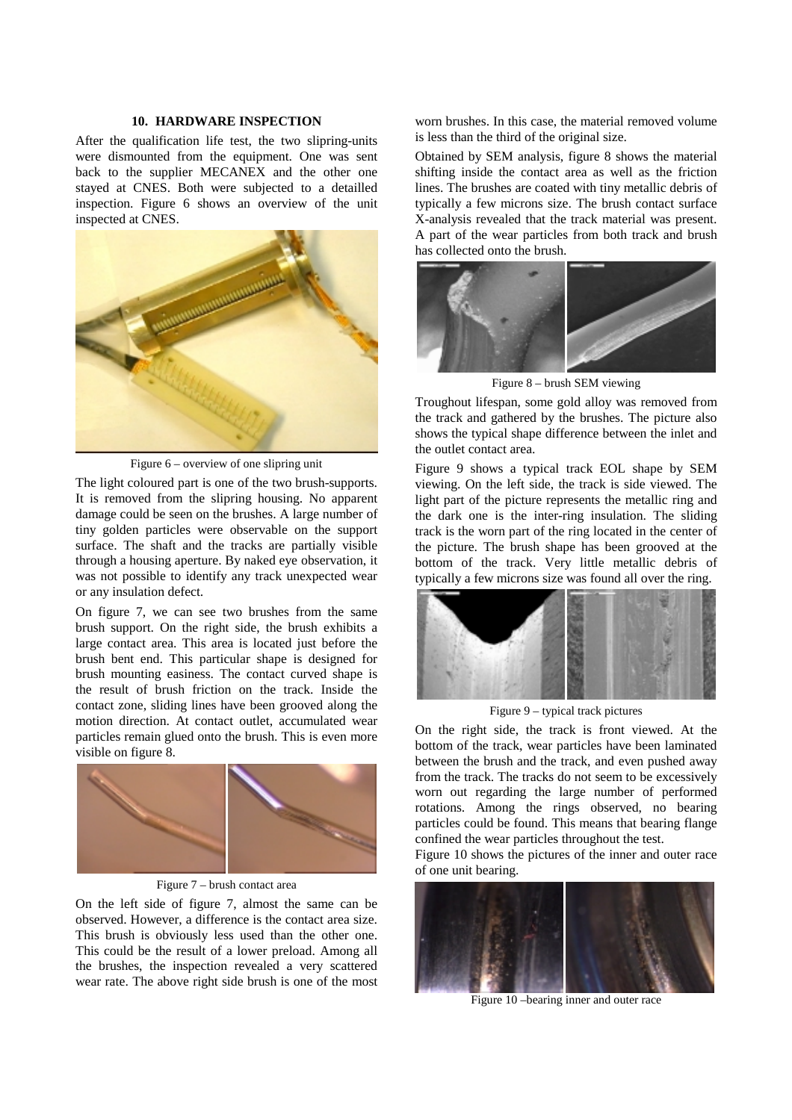#### **10. HARDWARE INSPECTION**

After the qualification life test, the two slipring-units were dismounted from the equipment. One was sent back to the supplier MECANEX and the other one stayed at CNES. Both were subjected to a detailled inspection. Figure 6 shows an overview of the unit inspected at CNES.



Figure 6 – overview of one slipring unit

The light coloured part is one of the two brush-supports. It is removed from the slipring housing. No apparent damage could be seen on the brushes. A large number of tiny golden particles were observable on the support surface. The shaft and the tracks are partially visible through a housing aperture. By naked eye observation, it was not possible to identify any track unexpected wear or any insulation defect.

On figure 7, we can see two brushes from the same brush support. On the right side, the brush exhibits a large contact area. This area is located just before the brush bent end. This particular shape is designed for brush mounting easiness. The contact curved shape is the result of brush friction on the track. Inside the contact zone, sliding lines have been grooved along the motion direction. At contact outlet, accumulated wear particles remain glued onto the brush. This is even more visible on figure 8.



Figure 7 – brush contact area

On the left side of figure 7, almost the same can be observed. However, a difference is the contact area size. This brush is obviously less used than the other one. This could be the result of a lower preload. Among all the brushes, the inspection revealed a very scattered wear rate. The above right side brush is one of the most worn brushes. In this case, the material removed volume is less than the third of the original size.

Obtained by SEM analysis, figure 8 shows the material shifting inside the contact area as well as the friction lines. The brushes are coated with tiny metallic debris of typically a few microns size. The brush contact surface X-analysis revealed that the track material was present. A part of the wear particles from both track and brush has collected onto the brush.



Figure 8 – brush SEM viewing

Troughout lifespan, some gold alloy was removed from the track and gathered by the brushes. The picture also shows the typical shape difference between the inlet and the outlet contact area.

Figure 9 shows a typical track EOL shape by SEM viewing. On the left side, the track is side viewed. The light part of the picture represents the metallic ring and the dark one is the inter-ring insulation. The sliding track is the worn part of the ring located in the center of the picture. The brush shape has been grooved at the bottom of the track. Very little metallic debris of typically a few microns size was found all over the ring.



Figure 9 – typical track pictures

On the right side, the track is front viewed. At the bottom of the track, wear particles have been laminated between the brush and the track, and even pushed away from the track. The tracks do not seem to be excessively worn out regarding the large number of performed rotations. Among the rings observed, no bearing particles could be found. This means that bearing flange confined the wear particles throughout the test.

Figure 10 shows the pictures of the inner and outer race of one unit bearing.



Figure 10 –bearing inner and outer race